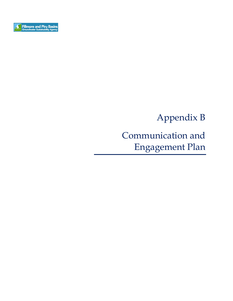

# Appendix B

# Communication and Engagement Plan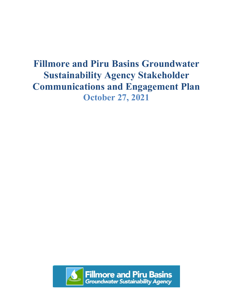# **Fillmore and Piru Basins Groundwater Sustainability Agency Stakeholder Communications and Engagement Plan October 27, 2021**

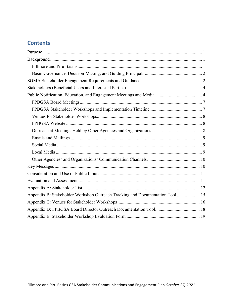## **Contents**

| Appendix B: Stakeholder Workshop Outreach Tracking and Documentation Tool 15 |
|------------------------------------------------------------------------------|
|                                                                              |
|                                                                              |
|                                                                              |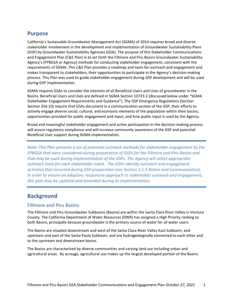#### <span id="page-3-0"></span>**Purpose**

California's Sustainable Groundwater Management Act (SGMA) of 2014 requires broad and diverse stakeholder involvement in the development and implementation of Groundwater Sustainability Plans (GSP) by Groundwater Sustainability Agencies (GSA). The purpose of this Stakeholder Communications and Engagement Plan (C&E Plan) is to set forth the Fillmore and Piru Basins Groundwater Sustainability Agency's (FPBGSA or Agency) methods for conducting stakeholder engagement, consistent with the requirements of SGMA. This C&E Plan provides a roadmap and tools for outreach and engagement and makes transparent to stakeholders, their opportunities to participate in the Agency's decision-making process. This Plan was used to guide stakeholder engagement during GSP development and will be used during GSP implementation.

SGMA requires GSAs to consider the interests of all Beneficial Users and Uses of groundwater in the Basins. Beneficial Users and Uses are defined in SGMA Section 10723.2 (discussed below under "SGMA Stakeholder Engagement Requirements and Guidance"). The GSP Emergency Regulations (Section Section 354.10) require that GSAs document in a communication section of the GSP, their efforts to actively engage diverse social, cultural, and economic elements of the population within their basins; opportunities provided for public engagement and input; and how public input is used by the Agency.

Broad and meaningful stakeholder engagement and active participation in the decision-making process will assure regulatory compliance and will increase community awareness of the GSP and potential Beneficial User support during SGMA implementation.

*Note: This Plan presents a set of potential outreach methods for stakeholder engagement by the FPBGSA that were considered during preparation of GSPs for the Fillmore and Piru Basins and that may be used during implementation of the GSPs. The Agency will select appropriate outreach tools for each stakeholder event. The GSPs identify outreach and engagement activities that occurred during GSP preparation (see Section 2.1.5 Notice and Communication). In order to ensure an adaptive, responsive approach to stakeholder outreach and engagement, this plan may be updated and amended during its implementation.*

### <span id="page-3-1"></span>**Background**

#### <span id="page-3-2"></span>Fillmore and Piru Basins

The Fillmore and Piru Groundwater Subbasins (Basins) are within the Santa Clara River Valley in Ventura County. The California Department of Water Resources (DWR) has assigned a High Priority ranking to both Basins, principally because groundwater is the primary source of water for all water users.

The Basins are situated downstream and west of the Santa Clara River Valley East Subbasin, and upstream and east of the Santa Paula Subbasin, and are hydrogeologically connected to each other and to the upstream and downstream basins.

The Basins are characterized by diverse communities and varying land use including urban and agricultural areas. By acreage, agricultural use makes up the largest developed portion of the Basins.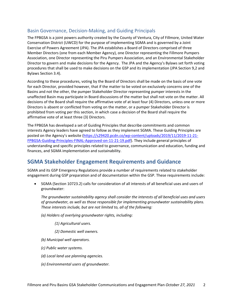#### <span id="page-4-0"></span>Basin Governance, Decision-Making, and Guiding Principals

The FPBGSA is a joint powers authority created by the County of Ventura, City of Fillmore, United Water Conservation District (UWCD) for the purpose of implementing SGMA and is governed by a Joint Exercise of Powers Agreement (JPA). The JPA establishes a Board of Directors comprised of three Member Directors (one from each Member Agency), one Director representing the Fillmore Pumpers Association, one Director representing the Piru Pumpers Association, and an Environmental Stakeholder Director to govern and make decisions for the Agency. The JPA and the Agency's Bylaws set forth voting procedures that shall be used to make decisions on the GSP and its implementation (JPA Section 9,2 and Bylaws Section 3.4).

According to these procedures, voting by the Board of Directors shall be made on the basis of one vote for each Director, provided however, that if the matter to be voted on exclusively concerns one of the Basins and not the other, the pumper Stakeholder Director representing pumper interests in the unaffected Basin may participate in Board discussions of the matter but shall not vote on the matter. All decisions of the Board shall require the affirmative vote of at least four (4) Directors, unless one or more Directors is absent or conflicted from voting on the matter, or a pumper Stakeholder Director is prohibited from voting per this section, in which case a decision of the Board shall require the affirmative vote of at least three (3) Directors.

The FPBGSA has developed a set of Guiding Principles that describe commitments and common interests Agency leaders have agreed to follow as they implement SGMA. These Guiding Principles are posted on the Agency's website [\(https://s29420.pcdn.co/wp-content/uploads/2019/11/2019-11-21-](https://s29420.pcdn.co/wp-content/uploads/2019/11/2019-11-21-FPBGSA-Guiding-Principles-FINAL-Approved-on-11-21-19.pdf) [FPBGSA-Guiding-Principles-FINAL-Approved-on-11-21-19.pdf\)](https://s29420.pcdn.co/wp-content/uploads/2019/11/2019-11-21-FPBGSA-Guiding-Principles-FINAL-Approved-on-11-21-19.pdf). They include general principles of understanding and specific principles related to governance, communication and education, funding and finances, and SGMA implementation and sustainability.

## <span id="page-4-1"></span>**SGMA Stakeholder Engagement Requirements and Guidance**

SGMA and its GSP Emergency Regulations provide a number of requirements related to stakeholder engagement during GSP preparation and of documentation within the GSP. These requirements include:

• SGMA (Section 10723.2) calls for consideration of all interests of all beneficial uses and users of groundwater:

*The groundwater sustainability agency shall consider the interests of all beneficial uses and users of groundwater, as well as those responsible for implementing groundwater sustainability plans. These interests include, but are not limited to, all of the following:* 

*(a) Holders of overlying groundwater rights, including:* 

*(1) Agricultural users.* 

*(2) Domestic well owners.* 

- *(b) Municipal well operators.*
- *(c) Public water systems.*
- *(d) Local land use planning agencies.*
- *(e) Environmental users of groundwater.*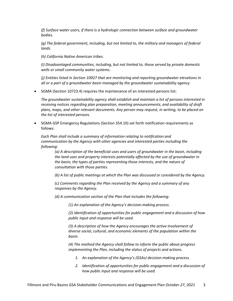*(f) Surface water users, if there is a hydrologic connection between surface and groundwater bodies.* 

*(g) The federal government, including, but not limited to, the military and managers of federal lands.* 

*(h) California Native American tribes.* 

*(i) Disadvantaged communities, including, but not limited to, those served by private domestic wells or small community water systems.* 

*(j) Entities listed in Section 10927 that are monitoring and reporting groundwater elevations in all or a part of a groundwater basin managed by the groundwater sustainability agency.*

• SGMA (Section 10723.4) requires the maintenance of an interested persons list:

*The groundwater sustainability agency shall establish and maintain a list of persons interested in receiving notices regarding plan preparation, meeting announcements, and availability of draft plans, maps, and other relevant documents. Any person may request, in writing, to be placed on the list of interested persons.*

• SGMA GSP Emergency Regulations (Section 354.10) set forth notification requirements as follows:

*Each Plan shall include a summary of information relating to notification and communication by the Agency with other agencies and interested parties including the following:*

*(a) A description of the beneficial uses and users of groundwater in the basin, including the land uses and property interests potentially affected by the use of groundwater in the basin, the types of parties representing those interests, and the nature of consultation with those parties.*

*(b) A list of public meetings at which the Plan was discussed or considered by the Agency.*

*(c) Comments regarding the Plan received by the Agency and a summary of any responses by the Agency.*

*(d) A communication section of the Plan that includes the following:*

*(1) An explanation of the Agency's decision-making process.*

*(2) Identification of opportunities for public engagement and a discussion of how public input and response will be used.*

*(3) A description of how the Agency encourages the active involvement of diverse social, cultural, and economic elements of the population within the basin.*

*(4) The method the Agency shall follow to inform the public about progress implementing the Plan, including the status of projects and actions.*

- *1. An explanation of the Agency's (GSAs) decision-making process.*
- *2. Identification of opportunities for public engagement and a discussion of how public input and response will be used.*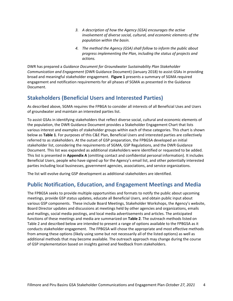- *3. A description of how the Agency (GSA) encourages the active involvement of diverse social, cultural, and economic elements of the population within the basin.*
- *4. The method the Agency (GSA) shall follow to inform the public about progress implementing the Plan, including the status of projects and actions.*

DWR has prepared a *Guidance Document for Groundwater Sustainability Plan Stakeholder Communication and Engagement* (DWR Guidance Document) (January 2018) to assist GSAs in providing broad and meaningful stakeholder engagement. **Figure 1** presents a summary of SGMA required engagement and notification requirements for all phases of SGMA as presented in the Guidance Document.

### <span id="page-6-0"></span>**Stakeholders (Beneficial Users and Interested Parties)**

As described above, SGMA requires the FPBGA to consider all interests of all Beneficial Uses and Users of groundwater and maintain an interested parties list.

To assist GSAs in identifying stakeholders that reflect diverse social, cultural and economic elements of the population, the DWR Guidance Document provides a Stakeholder Engagement Chart that lists various interest and examples of stakeholder groups within each of these categories. This chart is shown below as **Table 1**. For purposes of this C&E Plan, Beneficial Users and interested parties are collectively referred to as stakeholders. At the outset of GSP preparation, the FPBGSA developed an initial stakeholder list, considering the requirements of SGMA, GSP Regulations, and the DWR Guidance Document. This list was expanded as additional stakeholders were identified or requested to be added. This list is presented in **Appendix A** (omitting contact and confidential personal information). It includes Beneficial Users, people who have signed up for the Agency's email list, and other potentially interested parties including local businesses, government agencies, associations, and service organizations.

The list will evolve during GSP development as additional stakeholders are identified.

### <span id="page-6-1"></span>**Public Notification, Education, and Engagement Meetings and Media**

The FPBGSA seeks to provide multiple opportunities and formats to notify the public about upcoming meetings, provide GSP status updates, educate all Beneficial Users, and obtain public input about various GSP components. These include Board Meetings, Stakeholder Workshops, the Agency's website, Board Director updates and discussions at meetings held by other agencies and organizations, emails and mailings, social media postings, and local media advertisements and articles. The anticipated functions of these meetings and media are summarized on **Table 2**. The outreach methods listed on Table 2 and described below are intended to present a range of options available to the FPBGSA as it conducts stakeholder engagement. The FPBGSA will chose the appropriate and most effective methods from among these options (likely using some but not necessarily all of the listed options) as well as additional methods that may become available. The outreach approach may change during the course of GSP implementation based on insights gained and feedback from stakeholders.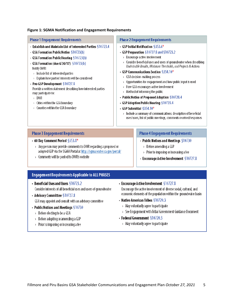#### **Figure 1: SGMA Notification and Engagement Requirements**

| <b>Phase 1 Engagement Requirements</b>                                                                                                                                                                                                                                                                                                                                                                                                                                                                                                                         | <b>Phase 2 Engagement Requirements</b>                                                                                                                                                                                                                                                                                                                                                                                                                                                                                                                                                                                                                                                                                                                                              |
|----------------------------------------------------------------------------------------------------------------------------------------------------------------------------------------------------------------------------------------------------------------------------------------------------------------------------------------------------------------------------------------------------------------------------------------------------------------------------------------------------------------------------------------------------------------|-------------------------------------------------------------------------------------------------------------------------------------------------------------------------------------------------------------------------------------------------------------------------------------------------------------------------------------------------------------------------------------------------------------------------------------------------------------------------------------------------------------------------------------------------------------------------------------------------------------------------------------------------------------------------------------------------------------------------------------------------------------------------------------|
| + Establish and Maintain List of Interested Parties §10723.4<br>GSA Formation Public Notice $$10723(b)$<br>$\cdot$ GSA Formation Public Hearing $$10723(b)$<br>• GSA Formation (due 6/30/17) §10723(b)<br>Notify DWR:<br>$\rightarrow$ Indude list of interested parties<br>Explain how parties' interests will be considered<br>$\mathcal{Y}$<br>• Pre-GSP Development \$10727.8<br>Provide a written statement describing how interested parties<br>may participate to:<br>> DWR<br>Cities within the GSA boundary<br>Counties within the GSA boundary<br>Y. | $\cdot$ GSP Initial Notification §353.6*<br>• GSP Preparation §10727.8 and §10723.2<br>$>$ Encourage active involvement<br>Consider beneficial uses and users of groundwater when describing<br>Undesirable Results, Minimum Thresholds, and Projects & Actions<br>• GSP Communications Section $$354.10*$<br>$>$ GSA decision-making process<br>$>$ Opportunities for engagement and how public input is used<br>$>$ How GSA encourages active involvement<br>$\rightarrow$ Method of informing the public<br>• Public Notice of Proposed Adoption \$10728.4<br>• GSP Adoption Public Hearing \$10728.4<br>$\cdot$ GSP Submittal §354.10*<br>$>$ Indude a summary of communications: description of beneficial<br>uses/users, list of public meetings, comments received/responses |
| <b>Phase 3 Engagement Requirements</b>                                                                                                                                                                                                                                                                                                                                                                                                                                                                                                                         | <b>Phase 4 Engagement Requirements</b>                                                                                                                                                                                                                                                                                                                                                                                                                                                                                                                                                                                                                                                                                                                                              |
| $\cdot$ 60 Day Comment Period $\S 353.8^*$<br>$\rightarrow$ Any person may provide comments to DWR regarding a proposed or<br>adopted GSP via the SGMA Portal at http://sqma.water.ca.gov/portal/                                                                                                                                                                                                                                                                                                                                                              | • Public Notices and Meetings $$10730$<br>$>$ Before amending a GSP<br>$\sim$ Drior to imposing ar increasing a fea-                                                                                                                                                                                                                                                                                                                                                                                                                                                                                                                                                                                                                                                                |

 $\rightarrow$  Comments will be posted to DWR's website

- $\rightarrow$  -Prior to imposing or increasing a fee-
- Encourage Active Involvement  $$10727.8$

#### **Engagement Requirements Applicable to ALL PHASES**

- Beneficial Uses and Users \$10723.2 Consider interests of all beneficial uses and users of groundwater
- + Advisory Committee §10727.8
	- GSA may appoint and consult with an advisory committee
- Public Notices and Meetings  $$10730$ 
	- $\rightarrow$  Before electing to be a GSA
	- $\rightarrow$  Before adopting or amending a GSP
	- $\rightarrow$  Prior to imposing or increasing a fee

- Encourage Active Involvement  $$10727.8$ Encourage the active involvement of diverse social, cultural, and

economic elements of the population within the groundwater basin

- Native American Tribes  $$10720.3$ 
	- $>$  May voluntarily agree to participate
	- > See Engagement with Tribal Government Guidance Document
- + Federal Government \$10720.3
	- $>$  May voluntarily agree to participate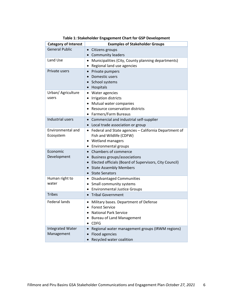| <b>Category of Interest</b>           | <b>Examples of Stakeholder Groups</b>                                                                                                                                                                                                     |
|---------------------------------------|-------------------------------------------------------------------------------------------------------------------------------------------------------------------------------------------------------------------------------------------|
| <b>General Public</b>                 | • Citizens groups<br>• Community leaders                                                                                                                                                                                                  |
| Land Use                              | Municipalities (City, County planning departments)<br>$\bullet$<br>Regional land use agencies<br>$\bullet$                                                                                                                                |
| Private users                         | Private pumpers<br>$\bullet$<br>Domestic users<br>$\bullet$<br>School systems<br>$\bullet$<br>• Hospitals                                                                                                                                 |
| Urban/ Agriculture<br>users           | • Water agencies<br>Irrigation districts<br>٠<br>Mutual water companies<br>$\bullet$<br>Resource conservation districts<br>$\bullet$<br>• Farmers/Farm Bureaus                                                                            |
| Industrial users                      | Commercial and industrial self-supplier<br>$\bullet$<br>• Local trade association or group                                                                                                                                                |
| Environmental and<br>Ecosystem        | • Federal and State agencies - California Department of<br>Fish and Wildlife (CDFW)<br>• Wetland managers<br>• Environmental groups                                                                                                       |
| Economic<br>Development               | Chambers of commerce<br>$\bullet$<br>Business groups/associations<br>$\bullet$<br>Elected officials (Board of Supervisors, City Council)<br>$\bullet$<br><b>State Assembly Members</b><br>$\bullet$<br><b>State Senators</b><br>$\bullet$ |
| Human right to<br>water               | • Disadvantaged Communities<br>Small community systems<br>٠<br>• Environmental Justice Groups                                                                                                                                             |
| <b>Tribes</b>                         | <b>Tribal Government</b><br>$\bullet$                                                                                                                                                                                                     |
| <b>Federal lands</b>                  | Military bases. Department of Defense<br>$\bullet$<br><b>Forest Service</b><br>٠<br><b>National Park Service</b><br><b>Bureau of Land Management</b><br><b>CDFG</b><br>$\bullet$                                                          |
| <b>Integrated Water</b><br>Management | Regional water management groups (IRWM regions)<br>$\bullet$<br>Flood agencies<br>Recycled water coalition<br>$\bullet$                                                                                                                   |

**Table 1: Stakeholder Engagement Chart for GSP Development**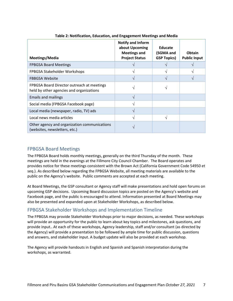| Meetings/Media                                                                         | Notify and Inform<br>about Upcoming<br><b>Meetings and</b><br><b>Project Status</b> | Educate<br>(SGMA and<br><b>GSP Topics)</b> | <b>Obtain</b><br><b>Public Input</b> |
|----------------------------------------------------------------------------------------|-------------------------------------------------------------------------------------|--------------------------------------------|--------------------------------------|
| <b>FPBGSA Board Meetings</b>                                                           |                                                                                     |                                            |                                      |
| FPBGSA Stakeholder Workshops                                                           |                                                                                     | ٦                                          |                                      |
| <b>FBBGSA Website</b>                                                                  | $\mathcal{L}$                                                                       |                                            |                                      |
| FPBGSA Board Director outreach at meetings<br>held by other agencies and organizations |                                                                                     |                                            |                                      |
| <b>Emails and mailings</b>                                                             | $\mathcal{N}$                                                                       |                                            |                                      |
| Social media (FPBGSA Facebook page)                                                    |                                                                                     |                                            |                                      |
| Local media (newspaper, radio, TV) ads                                                 | ٦                                                                                   |                                            |                                      |
| Local news media articles                                                              | $\mathcal{L}$                                                                       | N                                          |                                      |
| Other agency and organization communications<br>(websites, newsletters, etc.)          |                                                                                     |                                            |                                      |

#### **Table 2: Notification, Education, and Engagement Meetings and Media**

#### <span id="page-9-0"></span>FPBGSA Board Meetings

The FPBGSA Board holds monthly meetings, generally on the third Thursday of the month. These meetings are held in the evenings at the Fillmore City Council Chamber. The Board operates and provides notice for these meetings consistent with the Brown Act (California Government Code 54950 et seq.). As described below regarding the FPBGSA Website, all meeting materials are available to the public on the Agency's website. Public comments are accepted at each meeting.

At Board Meetings, the GSP consultant or Agency staff will make presentations and hold open forums on upcoming GSP decisions. Upcoming Board discussion topics are posted on the Agency's website and Facebook page, and the public is encouraged to attend. Information presented at Board Meetings may also be presented and expanded upon at Stakeholder Workshops, as described below.

#### <span id="page-9-1"></span>FPBGSA Stakeholder Workshops and Implementation Timeline

The FPBGSA may provide Stakeholder Workshops prior to major decisions, as needed. These workshops will provide an opportunity for the public to learn about key topics and milestones, ask questions, and provide input.. At each of these workshops, Agency leadership, staff and/or consultant (as directed by the Agency) will provide a presentation to be followed by ample time for public discussion, questions and answers, and stakeholder input. A budget update will also be provided at each workshop.

The Agency will provide handouts in English and Spanish and Spanish interpretation during the workshops, as warranted.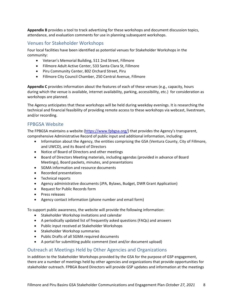**Appendix B** provides a tool to track advertising for these workshops and document discussion topics, attendance, and evaluation comments for use in planning subsequent workshops.

#### <span id="page-10-0"></span>Venues for Stakeholder Workshops

Four local facilities have been identified as potential venues for Stakeholder Workshops in the community:

- Veteran's Memorial Building, 511 2nd Street, Fillmore
- Fillmore Adult Active Center, 533 Santa Clara St, Fillmore
- Piru Community Center, 802 Orchard Street, Piru
- Fillmore City Council Chamber, 250 Central Avenue, Fillmore

**Appendix C** provides information about the features of each of these venues (e.g., capacity, hours during which the venue is available, internet availability, parking, accessibility, etc.) for consideration as workshops are planned.

The Agency anticipates that these workshops will be held during weekday evenings. It is researching the technical and financial feasibility of providing remote access to these workshops via webcast, livestream, and/or recording.

#### <span id="page-10-1"></span>FPBGSA Website

The FPBGSA maintains a website [\(https://www.fpbgsa.org/\)](https://www.fpbgsa.org/) that provides the Agency's transparent, comprehensive Administrative Record of public input and additional information, including:

- Information about the Agency, the entities comprising the GSA (Ventura County, City of Fillmore, and UWCD), and its Board of Directors
- Notice of Board of Directors and other meetings
- Board of Directors Meeting materials, including agendas (provided in advance of Board Meetings), Board packets, minutes, and presentations
- SGMA information and resource documents
- Recorded presentations
- Technical reports
- Agency administrative documents (JPA, Bylaws, Budget, DWR Grant Application)
- Request for Public Records form
- Press releases
- Agency contact information (phone number and email form)

To support public awareness, the website will provide the following information:

- Stakeholder Workshop invitations and calendar
- A periodically updated list of frequently asked questions (FAQs) and answers
- Public input received at Stakeholder Workshops
- Stakeholder Workshop summaries
- Public Drafts of all SGMA required documents
- A portal for submitting public comment (text and/or document upload)

#### <span id="page-10-2"></span>Outreach at Meetings Held by Other Agencies and Organizations

In addition to the Stakeholder Workshops provided by the GSA for the purpose of GSP engagement, there are a number of meetings held by other agencies and organizations that provide opportunities for stakeholder outreach. FPBGA Board Directors will provide GSP updates and information at the meetings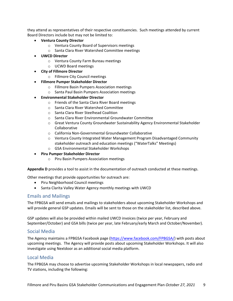they attend as representatives of their respective constituencies. Such meetings attended by current Board Directors include but may not be limited to:

- **Ventura County Director**
	- o Ventura County Board of Supervisors meetings
	- o Santa Clara River Watershed Committee meetings
- **UWCD Director**
	- o Ventura County Farm Bureau meetings
	- o UCWD Board meetings
- **City of Fillmore Director**
	- o Fillmore City Council meetings
- **Fillmore Pumper Stakeholder Director**
	- o Fillmore Basin Pumpers Association meetings
	- o Santa Paul Basin Pumpers Association meetings
- **Environmental Stakeholder Director**
	- o Friends of the Santa Clara River Board meetings
	- o Santa Clara River Watershed Committee
	- o Santa Clara River Steelhead Coalition
	- o Santa Clara River Environmental Groundwater Committee
	- o Great Ventura County Groundwater Sustainability Agency Environmental Stakeholder Collaborative
	- o California Non-Governmental Groundwater Collaborative
	- o Ventura County Integrated Water Management Program Disadvantaged Community stakeholder outreach and education meetings ("WaterTalks" Meetings)
	- o GSA Environmental Stakeholder Workshops
- **Piru Pumper Stakeholder Director**
	- o Piru Basin Pumpers Association meetings

**Appendix D** provides a tool to assist in the documentation of outreach conducted at these meetings.

Other meetings that provide opportunities for outreach are:

- Piru Neighborhood Council meetings
- Santa Clarita Valley Water Agency monthly meetings with UWCD

#### <span id="page-11-0"></span>Emails and Mailings

The FPBGSA will send emails and mailings to stakeholders about upcoming Stakeholder Workshops and will provide general GSP updates. Emails will be sent to those on the stakeholder list, described above.

GSP updates will also be provided within mailed UWCD invoices (twice per year, February and September/October) and GSA bills (twice per year, late February/early March and October/November).

#### <span id="page-11-1"></span>Social Media

The Agency maintains a FPBGSA Facebook page [\(https://www.facebook.com/FPBGSA/\)](https://www.facebook.com/FPBGSA/) with posts about upcoming meetings. The Agency will provide posts about upcoming Stakeholder Workshops. It will also investigate using Nextdoor as an additional social media platform.

#### <span id="page-11-2"></span>Local Media

The FPBGSA may choose to advertise upcoming Stakeholder Workshops in local newspapers, radio and TV stations, including the following: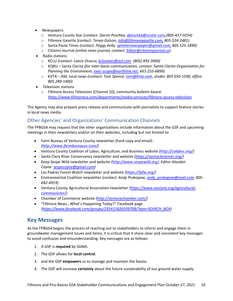- Newspapers:
	- o Ventura County Star *(contact: Darrin Peschka, [dpeschka@vcstar.com,](mailto:dpeschka@vcstar.com)(805-437-0254)*
	- o Fillmore Gazette *(contact: Tenea Golson, [info@fillmoregazette.com,](mailto:info@fillmoregazette.com) 805-524-2481)*
	- o Santa Paula Times *(contact: Peggy Kelly, [sptimesnewspaper@gmail.com,](mailto:sptimesnewspaper@gmail.com) 805 525-1890)*
	- o Citizens Journal *(online news journal, contact: [Editor@citizensjournal.us\)](mailto:Editor@citizensjournal.us)*
- Radio stations
	- o KCLU *(contact: Lance Orozco, [kclunews@aol.com](mailto:kclunews@aol.com) (805) 493-3900)*
	- o KQRU Santa Clarita *(for inter-basin communication, contact: Santa Clarita Organization for Planning the Environment[, exec-scope@earthlink.net,](mailto:exec-scope@earthlink.net) 661-255-6899)*
	- o KVTA AM, local news *(contact: Tom Spence, [tom@kvta.com,](mailto:tom@kvta.com) studio: 805 650-1590, office: 805 289-1400)*
- Television stations
	- o Fillmore Access Television (Channel 10), community bulletin board: <https://www.fillmoreca.com/departments/media-services/fillmore-access-television>

The Agency may also prepare press release and communicate with journalists to support feature stories in local news media.

#### <span id="page-12-0"></span>Other Agencies' and Organizations' Communication Channels

The FPBGSA may request that the other organizations include information about the GSP and upcoming meetings in their newsletters and/or on their websites, including but not limited to:

- Farm Bureau of Ventura County newsletter (hard copy and email) *[\(http://www.farmbureauvc.com/\)](http://www.farmbureauvc.com/)*
- Ventura County Coalition of Labor, Agriculture, and Business website *[\(http://colabvc.org/\)](http://colabvc.org/)*
- Santa Clara River Conservancy newsletter and website *[\(https://santaclarariver.org/\)](https://santaclarariver.org/)*
- Keep Sespe Wild newsletter and website *[\(http://www.sespewild.org/,](http://www.sespewild.org/) Editor Alasdair Coyne: [sespecoyne@gmail.com\)](mailto:sespecoyne@gmail.com)*
- Los Padres Forest Watch newsletter and website *[\(https://lpfw.org/\)](https://lpfw.org/)*
- Environmental Coalition newsletter *(contact: Andy Prokopow, [andy\\_prokopow@mail.com,](mailto:andy_prokopow@mail.com) 805- 642-4919)*
- Ventura County Agricultural Association newsletter *[\(https://www.ventura.org/agricultural](https://www.ventura.org/agricultural-commissioner/)[commissioner/\)](https://www.ventura.org/agricultural-commissioner/)*
- Chamber of Commerce website *[\(http://venturachamber.com/\)](http://venturachamber.com/)*
- "Fillmore News…What's Happening Today?" Facebook page *[\(https://www.facebook.com/groups/235415826509708/?epa=SEARCH\\_BOX\)](https://www.facebook.com/groups/235415826509708/?epa=SEARCH_BOX)*

## <span id="page-12-1"></span>**Key Messages**

As the FPBGSA begins the process of reaching out to stakeholders to inform and engage them in groundwater management issues and items, it is critical that it share clear and consistent key messages to avoid confusion and misunderstanding. Key messages are as follows:

- 1. A GSP is **required** by SGMA.
- 2. The GSP allows for **local control**.
- 3. and the GSP **empowers** us to manage and maintain the basins.
- 4. The GSP will increase **certainty** about the future sustainability of our ground water supply.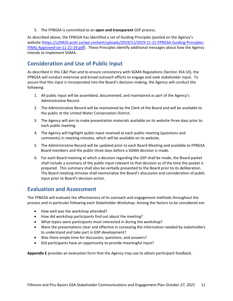5. The FPBGSA is committed to an **open and transparent** GSP process.

As described above, the FPBGSA has identified a set of Guiding Principles (posted on the Agency's website [\(https://s29420.pcdn.co/wp-content/uploads/2019/11/2019-11-21-FPBGSA-Guiding-Principles-](https://s29420.pcdn.co/wp-content/uploads/2019/11/2019-11-21-FPBGSA-Guiding-Principles-FINAL-Approved-on-11-21-19.pdf)[FINAL-Approved-on-11-21-19.pdf\)](https://s29420.pcdn.co/wp-content/uploads/2019/11/2019-11-21-FPBGSA-Guiding-Principles-FINAL-Approved-on-11-21-19.pdf). These Principles identify additional messages about how the Agency intends to implement SGMA.

## <span id="page-13-0"></span>**Consideration and Use of Public Input**

As described in this C&E Plan and to ensure consistency with SGMA Regulations (Section 354.10), the FPBGSA will conduct extensive and broad outreach efforts to engage and seek stakeholder input. To assure that this input is incorporated into the Board's decision-making, the Agency will conduct the following:

- 1. All public input will be assembled, documented, and maintained as part of the Agency's Administrative Record.
- 2. The Administrative Record will be maintained by the Clerk of the Board and will be available to the public at the United Water Conservation District.
- 3. The Agency will aim to make presentation materials available on its website three days prior to each public meeting.
- 4. The Agency will highlight public input received at each public meeting (questions and comments) in meeting minutes, which will be available on its website.
- 5. The Administrative Record will be updated prior to each Board Meeting and available to FPBGSA Board members and the public three days before a SGMA decision is made.
- 6. For each Board meeting at which a decision regarding the GSP shall be made, the Board packet shall include a summary of the public input relevant to that decision as of the time the packet is prepared. This summary shall also be verbally presented to the Board prior to its deliberation. The Board meeting minutes shall memorialize the Board's discussion and consideration of public input prior to Board's decision action.

#### <span id="page-13-1"></span>**Evaluation and Assessment**

The FPBGSA will evaluate the effectiveness of its outreach and engagement methods throughout the process and in particular following each Stakeholder Workshop. Among the factors to be considered are:

- How well was the workshop attended?
- How did workshop participants find out about the meeting?
- What topics were participants most interested in during the workshop?
- Were the presentations clear and effective in conveying the information needed by stakeholders to understand and take part in GSP development?
- Was there ample time for discussion, questions, and answers?
- Did participants have an opportunity to provide meaningful input?

**Appendix E** provides an evaluation form that the Agency may use to obtain participant feedback.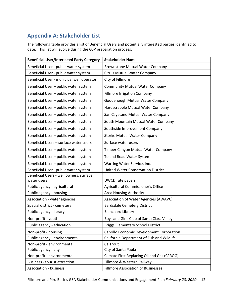# <span id="page-14-0"></span>**Appendix A: Stakeholder List**

The following table provides a list of Beneficial Users and potentially interested parties identified to date. This list will evolve during the GSP preparation process.

| <b>Beneficial User/Interested Party Category</b> | <b>Stakeholder Name</b>                     |
|--------------------------------------------------|---------------------------------------------|
| Beneficial User - public water system            | <b>Brownstone Mutual Water Company</b>      |
| Beneficial User - public water system            | <b>Citrus Mutual Water Company</b>          |
| Beneficial User - municipal well operator        | City of Fillmore                            |
| Beneficial User - public water system            | <b>Community Mutual Water Company</b>       |
| Beneficial User - public water system            | <b>Fillmore Irrigation Company</b>          |
| Beneficial User - public water system            | Goodenough Mutual Water Company             |
| Beneficial User - public water system            | Hardscrabble Mutual Water Company           |
| Beneficial User - public water system            | San Cayetano Mutual Water Company           |
| Beneficial User - public water system            | South Mountain Mutual Water Company         |
| Beneficial User - public water system            | Southside Improvement Company               |
| Beneficial User - public water system            | <b>Storke Mutual Water Company</b>          |
| Beneficial Users - surface water users           | Surface water users                         |
| Beneficial User - public water system            | Timber Canyon Mutual Water Company          |
| Beneficial User - public water system            | <b>Toland Road Water System</b>             |
| Beneficial User - public water system            | Warring Water Service, Inc.                 |
| Beneficial User - public water system            | <b>United Water Conservation District</b>   |
| Beneficial Users - well owners, surface          |                                             |
| water users                                      | UWCD rate payers                            |
| Public agency - agricultural                     | Agricultural Commissioner's Office          |
| Public agency - housing                          | Area Housing Authority                      |
| Association - water agencies                     | Association of Water Agencies (AWAVC)       |
| Special district - cemetery                      | <b>Bardsdale Cemetery District</b>          |
| Public agency - library                          | <b>Blanchard Library</b>                    |
| Non-profit - youth                               | Boys and Girls Club of Santa Clara Valley   |
| Public agency - education                        | <b>Briggs Elementary School District</b>    |
| Non-profit - housing                             | Cabrillo Economic Development Corporation   |
| Public agency - environmental                    | California Department of Fish and Wildlife  |
| Non-profit - environmental                       | CalTrout                                    |
| Public agency - city                             | City of Santa Paula                         |
| Non-profit - environmental                       | Climate First Replacing Oil and Gas (CFROG) |
| <b>Business - tourist attraction</b>             | Fillmore & Western Railway                  |
| <b>Association - business</b>                    | <b>Fillmore Association of Businesses</b>   |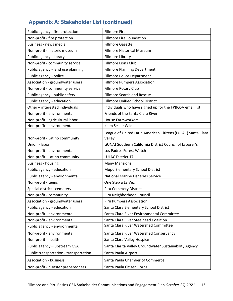# **Appendix A: Stakeholder List (continued)**

| Public agency - fire protection        | <b>Fillmore Fire</b>                                                   |
|----------------------------------------|------------------------------------------------------------------------|
| Non-profit - fire protection           | <b>Fillmore Fire Foundation</b>                                        |
| Business - news media                  | <b>Fillmore Gazette</b>                                                |
| Non-profit - historic museum           | <b>Fillmore Historical Museum</b>                                      |
| Public agency - library                | Fillmore Library                                                       |
| Non-profit - community service         | Fillmore Lions Club                                                    |
| Public agency - land use planning      | <b>Fillmore Planning Department</b>                                    |
| Public agency - police                 | <b>Fillmore Police Department</b>                                      |
| Association - groundwater users        | <b>Fillmore Pumpers Association</b>                                    |
| Non-profit - community service         | Fillmore Rotary Club                                                   |
| Public agency - public safety          | <b>Fillmore Search and Rescue</b>                                      |
| Public agency - education              | <b>Fillmore Unified School District</b>                                |
| Other - interested individuals         | Individuals who have signed up for the FPBGSA email list               |
| Non-profit - environmental             | Friends of the Santa Clara River                                       |
| Non-profit - agricultural labor        | <b>House Farmworkers</b>                                               |
| Non-profit - environmental             | Keep Sespe Wild                                                        |
| Non-profit - Latino community          | League of United Latin American Citizens (LULAC) Santa Clara<br>Valley |
| Union - labor                          | LiUNA! Southern California District Council of Laborer's               |
| Non-profit - environmental             | Los Padres Forest Watch                                                |
| Non-profit - Latino community          | <b>LULAC District 17</b>                                               |
| <b>Business - housing</b>              | <b>Many Mansions</b>                                                   |
| Public agency - education              | Mupu Elementary School District                                        |
| Public agency - environmental          | <b>National Marine Fisheries Service</b>                               |
| Non-profit - teens                     | One Step a La Vez                                                      |
| Special district - cemetery            | Piru Cemetery District                                                 |
| Non-profit - community                 | Piru Neighborhood Council                                              |
| Association - groundwater users        | Piru Pumpers Association                                               |
| Public agency - education              | Santa Clara Elementary School District                                 |
| Non-profit - environmental             | Santa Clara River Environmental Committee                              |
| Non-profit - environmental             | Santa Clara River Steelhead Coalition                                  |
| Public agency - environmental          | Santa Clara River Watershed Committee                                  |
| Non-profit - environmental             | Santa Clara River Watershed Conservancy                                |
| Non-profit - health                    | Santa Clara Valley Hospice                                             |
| Public agency - upstream GSA           | Santa Clarita Valley Groundwater Sustainability Agency                 |
| Public transportation - transportation | Santa Paula Airport                                                    |
| <b>Association - business</b>          | Santa Paula Chamber of Commerce                                        |
| Non-profit - disaster preparedness     | Santa Paula Citizen Corps                                              |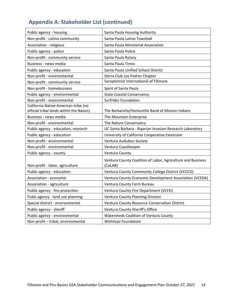# **Appendix A: Stakeholder List (continued)**

| Public agency - housing                                                          | Santa Paula Housing Authority                                          |
|----------------------------------------------------------------------------------|------------------------------------------------------------------------|
| Non-profit - Latino community                                                    | Santa Paula Latino Townhall                                            |
| Association - religious                                                          | Santa Paula Ministerial Association                                    |
| Public agency - police                                                           | Santa Paula Police                                                     |
| Non-profit - community service                                                   | Santa Paula Rotary                                                     |
| Business - news media                                                            | Santa Paula Times                                                      |
| Public agency - education                                                        | Santa Paula Unified School District                                    |
| Non-profit - environmental                                                       | Sierra Club Los Padres Chapter                                         |
| Non-profit - community service                                                   | Soroptomist International of Fillmore                                  |
| Non-profit - homelessness                                                        | Spirit of Santa Paula                                                  |
| Public agency - environmental                                                    | <b>State Coastal Conservancy</b>                                       |
| Non-profit - environmental                                                       | <b>Surfrider Foundation</b>                                            |
| California Native American tribe (no<br>official tribal lands within the Basins) | The Barbareño/Ventureño Band of Mission Indians                        |
| Business - news media                                                            | The Mountain Enterprise                                                |
| Non-profit - environmental                                                       | The Nature Conservancy                                                 |
| Public agency - education, research                                              | UC Santa Barbara - Riparian Invasion Research Laboratory               |
| Public agency - education                                                        | University of California Cooperative Extension                         |
| Non-profit - environmental                                                       | Ventura Audubon Society                                                |
| Non-profit - environmental                                                       | Ventura Coastkeeper                                                    |
| Public agency - county                                                           | Ventura County                                                         |
| Non-profit - labor, agriculture                                                  | Ventura County Coalition of Labor, Agriculture and Business<br>(CoLAB) |
| Public agency - education                                                        | Ventura County Community College District (VCCCD)                      |
| Association - economic                                                           | Ventura County Economic Development Association (VCEDA)                |
| Association - agriculture                                                        | Ventura County Farm Bureau                                             |
| Public agency - fire protection                                                  | Ventura County Fire Department (VCFD)                                  |
| Pubic agency - land use planning                                                 | Ventura County Planning Division                                       |
| Special district - environmental                                                 | Ventura County Resource Conservation District                          |
| Public agency - sheriff                                                          | Ventura County Sheriff's Office                                        |
| Public agency - environmental                                                    | Watersheds Coalition of Ventura County                                 |
| Non-profit - tribal, environmental                                               | Wishtoyo Foundation                                                    |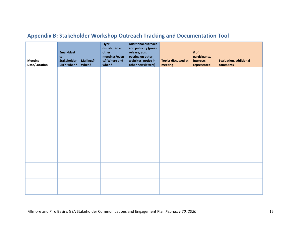<span id="page-17-0"></span>

| <b>Meeting</b><br>Date/Location | <b>Email-blast</b><br>to<br><b>Stakeholder</b><br>List? when? | <b>Mailings?</b><br>When? | Flyer<br>distributed at<br>other<br>meetings/even<br>ts? Where and<br>when? | <b>Additional outreach</b><br>and publicity (press<br>release, ads,<br>posting on other<br>websites, notice in<br>other newsletters) | <b>Topics discussed at</b><br>meeting | # of<br>participants,<br>interests<br>represented | <b>Evaluation, additional</b><br>comments |
|---------------------------------|---------------------------------------------------------------|---------------------------|-----------------------------------------------------------------------------|--------------------------------------------------------------------------------------------------------------------------------------|---------------------------------------|---------------------------------------------------|-------------------------------------------|
|                                 |                                                               |                           |                                                                             |                                                                                                                                      |                                       |                                                   |                                           |
|                                 |                                                               |                           |                                                                             |                                                                                                                                      |                                       |                                                   |                                           |
|                                 |                                                               |                           |                                                                             |                                                                                                                                      |                                       |                                                   |                                           |
|                                 |                                                               |                           |                                                                             |                                                                                                                                      |                                       |                                                   |                                           |
|                                 |                                                               |                           |                                                                             |                                                                                                                                      |                                       |                                                   |                                           |
|                                 |                                                               |                           |                                                                             |                                                                                                                                      |                                       |                                                   |                                           |
|                                 |                                                               |                           |                                                                             |                                                                                                                                      |                                       |                                                   |                                           |
|                                 |                                                               |                           |                                                                             |                                                                                                                                      |                                       |                                                   |                                           |

# **Appendix B: Stakeholder Workshop Outreach Tracking and Documentation Tool**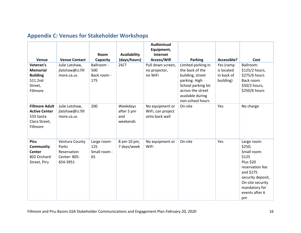# **Appendix C: Venues for Stakeholder Workshops**

<span id="page-18-0"></span>

| Venue                                                                                   | <b>Venue Contact</b>                                               | <b>Room</b><br>Capacity                  | Availability<br>(days/hours)              | <b>Audiovisual</b><br>Equipment,<br>Internet<br>Access/Wifi | <b>Parking</b>                                                                                                                                                | Accessible?                                        | Cost                                                                                                                                                                                |
|-----------------------------------------------------------------------------------------|--------------------------------------------------------------------|------------------------------------------|-------------------------------------------|-------------------------------------------------------------|---------------------------------------------------------------------------------------------------------------------------------------------------------------|----------------------------------------------------|-------------------------------------------------------------------------------------------------------------------------------------------------------------------------------------|
| Veteran's<br><b>Memorial</b><br><b>Building</b><br>511 2nd<br>Street,<br>Fillmore       | Julie Latshaw,<br>jlatshaw@ci.fill<br>more.ca.us                   | Ballroom -<br>500<br>Back room -<br>175  | 24/7                                      | Pull down screen,<br>no projector,<br>no WiFi               | Limited parking in<br>the back of the<br>building, street<br>parking. High<br>School parking lot<br>across the street<br>available during<br>non-school hours | Yes (ramp<br>is located<br>in back of<br>building) | Ballroom:<br>\$125/2 hours,<br>\$275/6 hours<br>Back room:<br>\$50/2 hours,<br>\$250/6 hours                                                                                        |
| <b>Fillmore Adult</b><br><b>Active Center</b><br>533 Santa<br>Clara Street,<br>Fillmore | Julie Latshaw,<br>jlatshaw@ci.fill<br>more.ca.us                   | 200                                      | Weekdays<br>after 5 pm<br>and<br>weekends | No equipment or<br>WiFi, can project<br>onto back wall      | On-site                                                                                                                                                       | Yes                                                | No charge                                                                                                                                                                           |
| <b>Piru</b><br>Community<br><b>Center</b><br>802 Orchard<br>Street, Piru                | Ventura County<br>Parks<br>Reservation<br>Center: 805-<br>654-3951 | Large room-<br>125<br>Small room -<br>65 | 8 am-10 pm,<br>7 days/week                | No equipment or<br>WiFi                                     | On-site                                                                                                                                                       | Yes                                                | Large room:<br>\$250;<br>Small room:<br>\$125<br><b>Plus \$20</b><br>reservation fee<br>and \$275<br>security deposit,<br>On-site security<br>mandatory for<br>events after 6<br>pm |

Fillmore and Piru Basins GSA Stakeholder Communications and Engagement Plan *February 20, 2020* 16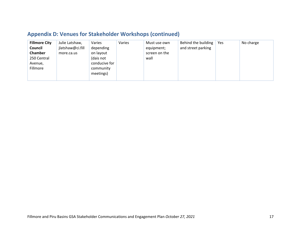# **Appendix D: Venues for Stakeholder Workshops (continued)**

| <b>Fillmore City</b> | Julie Latshaw,   | Varies        | Varies | Must use own  | Behind the building $\vert$ | Yes | No charge |
|----------------------|------------------|---------------|--------|---------------|-----------------------------|-----|-----------|
| Council              | jlatshaw@ci.fill | depending     |        | equipment;    | and street parking          |     |           |
| Chamber              | more.ca.us       | on layout     |        | screen on the |                             |     |           |
| 250 Central          |                  | (dais not     |        | wall          |                             |     |           |
| Avenue,              |                  | conducive for |        |               |                             |     |           |
| Fillmore             |                  | community     |        |               |                             |     |           |
|                      |                  | meetings)     |        |               |                             |     |           |
|                      |                  |               |        |               |                             |     |           |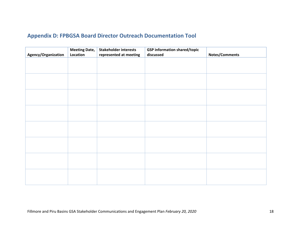## **Appendix D: FPBGSA Board Director Outreach Documentation Tool**

<span id="page-20-0"></span>

|                     | <b>Meeting Date,</b> | <b>Stakeholder interests</b> | <b>GSP</b> information shared/topic |                |
|---------------------|----------------------|------------------------------|-------------------------------------|----------------|
| Agency/Organization | Location             | represented at meeting       | discussed                           | Notes/Comments |
|                     |                      |                              |                                     |                |
|                     |                      |                              |                                     |                |
|                     |                      |                              |                                     |                |
|                     |                      |                              |                                     |                |
|                     |                      |                              |                                     |                |
|                     |                      |                              |                                     |                |
|                     |                      |                              |                                     |                |
|                     |                      |                              |                                     |                |
|                     |                      |                              |                                     |                |
|                     |                      |                              |                                     |                |
|                     |                      |                              |                                     |                |
|                     |                      |                              |                                     |                |
|                     |                      |                              |                                     |                |
|                     |                      |                              |                                     |                |
|                     |                      |                              |                                     |                |
|                     |                      |                              |                                     |                |
|                     |                      |                              |                                     |                |
|                     |                      |                              |                                     |                |
|                     |                      |                              |                                     |                |
|                     |                      |                              |                                     |                |
|                     |                      |                              |                                     |                |
|                     |                      |                              |                                     |                |
|                     |                      |                              |                                     |                |
|                     |                      |                              |                                     |                |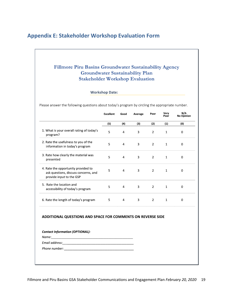## <span id="page-21-0"></span>**Appendix E: Stakeholder Workshop Evaluation Form**

#### Fillmore Piru Basins Groundwater Sustainability Agency **Groundwater Sustainability Plan Stakeholder Workshop Evaluation**

**Workshop Date:** 

Please answer the following questions about today's program by circling the appropriate number.

|                                                                                                                       | <b>Excellent</b> | Good           | Average | Poor           | Very<br>Poor | N/A<br>No Opinion |
|-----------------------------------------------------------------------------------------------------------------------|------------------|----------------|---------|----------------|--------------|-------------------|
|                                                                                                                       | (5)              | (4)            | (3)     | (2)            | (1)          | (0)               |
| 1. What is your overall rating of today's<br>program?                                                                 | 5                | 4              | 3       | $\overline{2}$ | $\mathbf{1}$ | 0                 |
| 2. Rate the usefulness to you of the<br>information in today's program                                                | 5                | 4              | 3       | $\overline{2}$ | 1            | 0                 |
| 3. Rate how clearly the material was<br>presented                                                                     | 5                | 4              | 3       | $\overline{2}$ | $\mathbf{1}$ | $\mathbf 0$       |
| 4. Rate the opportunity provided to<br>ask questions, discuss concerns, and<br>provide input to the GSP               | 5                | 4              | 3       | $\overline{2}$ | $\mathbf{1}$ | 0                 |
| 5. Rate the location and<br>accessibility of today's program                                                          | 5                | 4              | 3       | $\overline{2}$ | $\mathbf{1}$ | 0                 |
| 6. Rate the length of today's program                                                                                 | 5                | $\overline{4}$ | 3       | $\overline{2}$ | $\mathbf{1}$ | $\mathbf 0$       |
| <b>ADDITIONAL QUESTIONS AND SPACE FOR COMMENTS ON REVERSE SIDE</b><br><b>Contact Information (OPTIONAL):</b><br>Name: |                  |                |         |                |              |                   |
|                                                                                                                       |                  |                |         |                |              |                   |
|                                                                                                                       |                  |                |         |                |              |                   |